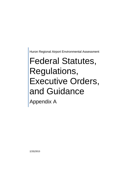Huron Regional Airport Environmental Assessment

## Federal Statutes, Regulations, Executive Orders, and Guidance

Appendix A

2/20/2013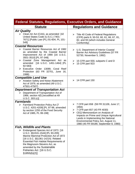| <b>Federal Statutes, Regulations, Executive Orders, and Guidance</b>                                                                                                                                                                                                                                          |                                                                                                                                                                                                                                                                                         |  |
|---------------------------------------------------------------------------------------------------------------------------------------------------------------------------------------------------------------------------------------------------------------------------------------------------------------|-----------------------------------------------------------------------------------------------------------------------------------------------------------------------------------------------------------------------------------------------------------------------------------------|--|
| <b>Statute</b>                                                                                                                                                                                                                                                                                                | <b>Regulations and Guidance</b>                                                                                                                                                                                                                                                         |  |
| <b>Air Quality</b>                                                                                                                                                                                                                                                                                            |                                                                                                                                                                                                                                                                                         |  |
| $\triangleright$ Clean Air Act (CAA), as amended [42]<br>United States Code (U.S.C.) 7401-<br>7671] [Public Law (PL) 91-604, PL 101-<br>549]                                                                                                                                                                  | $\triangleright$ Title 40 Code of Federal Regulations<br>(CFR) parts 9, 50-53, 60, 61, 66, 67, 81,<br>82, and 93 (which includes General<br>Conformity)                                                                                                                                 |  |
| <b>Coastal Resources</b>                                                                                                                                                                                                                                                                                      |                                                                                                                                                                                                                                                                                         |  |
| ▶ Coastal Barrier Resources Act of 1982<br>as amended by the Coastal Barrier<br>Improvement Act of 1990 [16 U.S.C.<br>3501-3510] [PL 97-348]                                                                                                                                                                  | $\triangleright$ U.S. Department of Interior Coastal<br>Barrier Act Advisory Guidelines (57 FR<br>52730, November 5, 1992)                                                                                                                                                              |  |
| > Coastal Zone Management Act as<br>[16 U.S.C. 1451-1464] [PL<br>amended<br>92-583]                                                                                                                                                                                                                           | $\triangleright$ 15 CFR part 930, subparts C and D<br>15 CFR part 923<br>➤                                                                                                                                                                                                              |  |
| Executive Order 13089, Coral Reef<br>Protection (63 FR 32701, June 16,<br>1998)                                                                                                                                                                                                                               |                                                                                                                                                                                                                                                                                         |  |
| <b>Compatible Land Use</b>                                                                                                                                                                                                                                                                                    |                                                                                                                                                                                                                                                                                         |  |
| > Aviation Safety and Noise Abatement<br>Act of 1979, as amended (49 U.S.C.<br>47501-47507)                                                                                                                                                                                                                   | 14 CFR part 150<br>➤                                                                                                                                                                                                                                                                    |  |
| <b>Department of Transportation Act</b><br>> Department of Transportation Act of<br>1966, section 4(f) [recodified at 49<br>U.S.C. 303(c)]                                                                                                                                                                    |                                                                                                                                                                                                                                                                                         |  |
| <b>Farmlands</b>                                                                                                                                                                                                                                                                                              |                                                                                                                                                                                                                                                                                         |  |
| $\triangleright$ Farmland Protection Policy Act [7]<br>U.S.C. 4201-4209] [PL 97-98, amended<br>by section 1255 of the Food Security<br>Act of 1985, PL 99-198]                                                                                                                                                | ▶ 7 CFR part 658 (59 FR 31109, June 17,<br>1994)<br>▶ 7 CFR part 657 (43 FR 4030)<br>> CEQ Memorandum on Analysis of<br>Impacts on Prime and Unique Agricultural<br>Lands in Implementing the National<br>Environmental Policy Act, August 11,<br>1980 (45 FR 59189, September 8, 1980) |  |
| <b>Fish, Wildlife and Plants</b>                                                                                                                                                                                                                                                                              |                                                                                                                                                                                                                                                                                         |  |
| Endangered Species Act of 1973 [16]<br>U.S.C. §§1531-1544] [PL 93-205]<br>Marine Mammal Protection Act of 1972<br>[16 U.S.C. §§1361-1421h] Related<br><b>Essential Fish Habitat Requirements of</b><br>the Magnuson-Stevens Act, as<br>amended by the Sustainable<br>Fisheries Act [16 U.S.C.<br>§1855(b)(2)] |                                                                                                                                                                                                                                                                                         |  |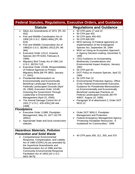| <b>Federal Statutes, Regulations, Executive Orders, and Guidance</b> |                                                                                                                                                                                                                                                                                                                                                                                                                                                                                                                                                                                                                                                                                                                                                                                                                               |                                                                                                                                                                                                                                                                                                                                                                                                                                                                                                                                                                                                                                                                                                                                                                                                                                                                                             |
|----------------------------------------------------------------------|-------------------------------------------------------------------------------------------------------------------------------------------------------------------------------------------------------------------------------------------------------------------------------------------------------------------------------------------------------------------------------------------------------------------------------------------------------------------------------------------------------------------------------------------------------------------------------------------------------------------------------------------------------------------------------------------------------------------------------------------------------------------------------------------------------------------------------|---------------------------------------------------------------------------------------------------------------------------------------------------------------------------------------------------------------------------------------------------------------------------------------------------------------------------------------------------------------------------------------------------------------------------------------------------------------------------------------------------------------------------------------------------------------------------------------------------------------------------------------------------------------------------------------------------------------------------------------------------------------------------------------------------------------------------------------------------------------------------------------------|
|                                                                      | <b>Statute</b>                                                                                                                                                                                                                                                                                                                                                                                                                                                                                                                                                                                                                                                                                                                                                                                                                | <b>Regulations and Guidance</b>                                                                                                                                                                                                                                                                                                                                                                                                                                                                                                                                                                                                                                                                                                                                                                                                                                                             |
| $\blacktriangleright$<br>➤<br>➤<br>➤<br>➤<br>➤<br>➤                  | Sikes Act Amendments of 1974 [PL 93-<br>452]<br>Fish and Wildlife Coordination Act of<br>1958 [16 U.S.C. §§661-666c] [PL 85-<br>624]<br>Fish and Wildlife Conservation Act of<br>1980[16 U.S.C. §§2901-2912] [PL 96-<br>366]<br>Executive Order 13112, Invasive<br>Species (64 FR 6183, February 8,<br>1999)<br>Migratory Bird Treaty Act of 1981 [16<br>U.S.C. §§703-712]<br>Executive Order 13186, Responsibilities<br>of Federal Agencies to Protect<br>Migratory Birds [66 FR 3853, January<br>17, 2001]<br><b>Presidential Memorandum on</b><br><b>Environmentally and Economically</b><br>Beneficial Landscape Practices on<br><b>Federally Landscaped Grounds (April</b><br>26, 1994); Executive Order 13148,<br><b>Greening the Government Through</b><br>Leadership in Environmental<br>Management (April 22, 2000). | 50 CFR parts 17 and 22<br>$\blacktriangleright$<br>$\geqslant$ 50 CFR part 402<br>50 CFR parts 450-453<br>➤<br>50 CFR 600.920<br>➤<br>MOU [among 14 Federal agencies] on<br>⋗<br>Implementation of the Endangered<br>Species Act, September 28, 1994<br>MOU on Using an Ecosystem Approach<br>➤<br>in Agency Decision-making, December 5,<br>1995<br>> CEQ Guidance on Incorporating<br><b>Biodiversity Considerations into</b><br>Environmental Impact Analysis, January<br>1993<br>$\triangleright$ 50 CFR part 83<br>DOT Policy on Invasive Species, April 22,<br>≻<br>1999<br>50 CFR Part 10<br>➤<br><b>Environmental Protection Agency, Office</b><br>➤<br>of the Federal Environmental Executive,<br>Guidance for Presidential Memorandum<br>on Environmentally and Economically<br>Beneficial Landscape Practices on<br>Federal Landscaped Grounds (60 FR<br>40837, August 10, 1995) |
| ➤                                                                    | The Animal Damage Control Act of<br>1931 [7 U.S.C. 426-426c] [46 stat.<br>1468]                                                                                                                                                                                                                                                                                                                                                                                                                                                                                                                                                                                                                                                                                                                                               | Paragraph 3f of attachment 2; Order DOT<br>5610.1C                                                                                                                                                                                                                                                                                                                                                                                                                                                                                                                                                                                                                                                                                                                                                                                                                                          |
|                                                                      | <b>Floodplains</b>                                                                                                                                                                                                                                                                                                                                                                                                                                                                                                                                                                                                                                                                                                                                                                                                            |                                                                                                                                                                                                                                                                                                                                                                                                                                                                                                                                                                                                                                                                                                                                                                                                                                                                                             |
|                                                                      | Executive Order 11988, Floodplain<br>Management, May 24, 1977 (42 FR<br>26951)<br>Appropriate State and local construction<br>statutes                                                                                                                                                                                                                                                                                                                                                                                                                                                                                                                                                                                                                                                                                        | > Order DOT 5650.2, Floodplain<br>Management and Protection<br>> Federal Emergency Management Agency<br>"Protecting Floodplain Resources: A<br>Guidebook for Communities," 1996                                                                                                                                                                                                                                                                                                                                                                                                                                                                                                                                                                                                                                                                                                             |
|                                                                      | <b>Hazardous Materials, Pollution</b>                                                                                                                                                                                                                                                                                                                                                                                                                                                                                                                                                                                                                                                                                                                                                                                         |                                                                                                                                                                                                                                                                                                                                                                                                                                                                                                                                                                                                                                                                                                                                                                                                                                                                                             |
| ➤                                                                    | <b>Prevention and Solid Waste</b><br><b>Comprehensive Environmental</b><br>Response, Compensation, and Liability<br>Act of 1980 (CERCLA) (as amended by<br>the Superfund Amendments and<br>Reauthorization Act of 1986 and the<br><b>Community Environmental Response</b><br>Facilitation Act of 1992) [42 U.S.C.<br>9601-9675]                                                                                                                                                                                                                                                                                                                                                                                                                                                                                               | 40 CFR parts 300, 311, 355, and 370<br>➤                                                                                                                                                                                                                                                                                                                                                                                                                                                                                                                                                                                                                                                                                                                                                                                                                                                    |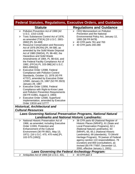|                                                                                                                                                                                                                                                                                                                                                                                                                                                                                                                                                                                                                                                                                                                                                                                                                                                                                                                                                                                                                                                | <b>Federal Statutes, Regulations, Executive Orders, and Guidance</b>                                                                                                                                                                                                                                                                                                                                        |
|------------------------------------------------------------------------------------------------------------------------------------------------------------------------------------------------------------------------------------------------------------------------------------------------------------------------------------------------------------------------------------------------------------------------------------------------------------------------------------------------------------------------------------------------------------------------------------------------------------------------------------------------------------------------------------------------------------------------------------------------------------------------------------------------------------------------------------------------------------------------------------------------------------------------------------------------------------------------------------------------------------------------------------------------|-------------------------------------------------------------------------------------------------------------------------------------------------------------------------------------------------------------------------------------------------------------------------------------------------------------------------------------------------------------------------------------------------------------|
| <b>Statute</b>                                                                                                                                                                                                                                                                                                                                                                                                                                                                                                                                                                                                                                                                                                                                                                                                                                                                                                                                                                                                                                 | <b>Regulations and Guidance</b>                                                                                                                                                                                                                                                                                                                                                                             |
| > Pollution Prevention Act of 1990 [42]<br>U.S.C. 1310-1319]<br>Toxic Substances Control Act of 1976,<br>➤<br>as amended (TSCA) [15 U.S.C. 2601-<br>2692] [PL 94-469]<br>$\triangleright$ Resource Conservation and Recovery<br>Act of 1976 (RCRA) [PL 94-580, as<br>amended by the Solid Waste Disposal<br>Act of 1980 (SWDA), PL 96-482, the<br><b>Hazardous and Solid Waste</b><br>Amendments of 1984, PL 98-616, and<br>the Federal Facility Compliance Act of<br>1992, (FFCA) PL 103-386] [42 U.S.C.<br>6901-6992(k)]<br>Executive Order 12088, Federal<br>➤<br><b>Compliance with Pollution Control</b><br>Standards, October 13, 1978 (43 FR<br>47707), amended by Executive Order<br>12580, January 23, 1987 (52 FR 2923)<br>January 29, 1987<br>$\triangleright$ Executive Order 12856, Federal<br>Compliance with Right-to-Know Laws<br>and Pollution Prevention Requirements<br>(58 FR 41981, August 3, 1993)<br>$\triangleright$ Executive Order 12580, Superfund<br>Implementation, amended by Executive<br>Order 13016 and 12777 | > CEQ Memorandum on Pollution<br><b>Prevention and the National</b><br>Environmental Policy Act, January 12,<br>1993 (58 FR 6478)<br>$\geq$ 40 CFR parts 761 and 763<br>40 CFR parts 240-280<br>≻                                                                                                                                                                                                           |
| <b>Historical, Architectural and</b>                                                                                                                                                                                                                                                                                                                                                                                                                                                                                                                                                                                                                                                                                                                                                                                                                                                                                                                                                                                                           |                                                                                                                                                                                                                                                                                                                                                                                                             |
| <b>Cultural Resources</b>                                                                                                                                                                                                                                                                                                                                                                                                                                                                                                                                                                                                                                                                                                                                                                                                                                                                                                                                                                                                                      |                                                                                                                                                                                                                                                                                                                                                                                                             |
|                                                                                                                                                                                                                                                                                                                                                                                                                                                                                                                                                                                                                                                                                                                                                                                                                                                                                                                                                                                                                                                | <b>Laws Governing National Preservation Programs, National Natural</b>                                                                                                                                                                                                                                                                                                                                      |
| National Historic Preservation Act of<br>➤                                                                                                                                                                                                                                                                                                                                                                                                                                                                                                                                                                                                                                                                                                                                                                                                                                                                                                                                                                                                     | <b>Landmarks and National Historic Landmarks:</b><br>36 CFR parts 60 (National Register of<br>➤                                                                                                                                                                                                                                                                                                             |
| 1966, as amended, including Executive<br>Order 11593, Protection and<br><b>Enhancement of the Cultural</b><br>Environment (36 FR 8921, May 13,<br>1971) [16 U.S.C. 470, 470 note] [PL<br>102-575 (1992)]                                                                                                                                                                                                                                                                                                                                                                                                                                                                                                                                                                                                                                                                                                                                                                                                                                       | Historic Places (NRHP)), 61 (State and<br>Local Preservation Programs), 62.1<br>(National Natural Landmarks), 63<br>(NRHP), 65, 65.1 (National Historic<br>Landmarks), 68 (standards), 73 (World<br>Heritage Program), 78 (waiver of Federal<br>agency section 110 responsibilities), 79<br>(curation) and 800 (consultation), as<br>revised (65 FR 77697; December 12,<br>2000, effective January 1, 2001) |
| Antiquities Act of 1906 [16 U.S.C. 431,<br>≻                                                                                                                                                                                                                                                                                                                                                                                                                                                                                                                                                                                                                                                                                                                                                                                                                                                                                                                                                                                                   | <b>Laws Governing the Federal Archeology Program:</b><br>43 CFR part 3<br>➤                                                                                                                                                                                                                                                                                                                                 |
|                                                                                                                                                                                                                                                                                                                                                                                                                                                                                                                                                                                                                                                                                                                                                                                                                                                                                                                                                                                                                                                |                                                                                                                                                                                                                                                                                                                                                                                                             |

 $\Box$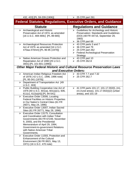| 432, 433] [PL 59-209 (1906)]                                                                                                                                                                                                                                                  | $\geq 25$ CFR part 261                                                                                                                                                     |
|-------------------------------------------------------------------------------------------------------------------------------------------------------------------------------------------------------------------------------------------------------------------------------|----------------------------------------------------------------------------------------------------------------------------------------------------------------------------|
|                                                                                                                                                                                                                                                                               | <b>Federal Statutes, Regulations, Executive Orders, and Guidance</b>                                                                                                       |
| <b>Statute</b>                                                                                                                                                                                                                                                                | <b>Regulations and Guidance</b>                                                                                                                                            |
| Archaeological and Historic<br>➤<br>Preservation Act of 1974, as amended<br>[16 U.S.C. 469-469c] [PL 89-665]                                                                                                                                                                  | $\triangleright$ Guidelines for Archeology and Historic<br><b>Preservation: Standards and Guidelines</b><br>(DOI) (48 FR 44716, September 29,<br>1983)<br>> 36 CFR part 68 |
| > Archaeological Resources Protection<br>Act of 1979, as amended [16 U.S.C.<br>470aa-470mm] [PL 96-95 (1979)]                                                                                                                                                                 | $\triangleright$ 43 CFR parts 3 and 7<br>36 CFR part 79<br>➤<br>$\geq 25$ CFR part 262<br>> Federal Archeological Preservation<br>Strategy                                 |
| Native American Graves Protection and<br>$\blacktriangleright$<br>Repatriation Act of 1990 [25 U.S.C.<br>3001] [PL 101-601 (1990)]                                                                                                                                            | $\triangleright$ 43 CFR part 10<br>▶ 25 CFR 262.8                                                                                                                          |
|                                                                                                                                                                                                                                                                               | <b>Other Major Federal Historic and Cultural Resource Preservation Laws</b>                                                                                                |
|                                                                                                                                                                                                                                                                               | and Executive Orders:                                                                                                                                                      |
| > American Indian Religious Freedom Act<br>of 1978 [42 U.S.C. 1996, 1996 note]<br>[PL 95-341 (1978)]                                                                                                                                                                          | $\geq$ 43 CFR 7.7 and 7.32<br>25 CFR 262.7<br>➤                                                                                                                            |
| Department of Transportation Act [49<br>≻<br>U.S.C. 303]                                                                                                                                                                                                                      |                                                                                                                                                                            |
| Public Building Cooperative Use Act of<br>$\triangleright$<br>1976 [40 U.S.C. 601(a), 601(a)(1), 606,<br>611(c), 612(a)(4)] [PL 94-541]                                                                                                                                       | ▶ 41 CFR parts 101-17, 101-17.002(I), (m),<br>(n) (rural areas), 101.17.002(i)(2) (urban<br>areas), and 101-19                                                             |
| Executive Order 13006, Locating<br>➤<br><b>Federal Facilities on Historic Properties</b><br>in Our Nation's Central Cities (61 FR<br>26071, May 24, 1996)                                                                                                                     |                                                                                                                                                                            |
| Executive Order 13007, Indian Sacred<br>➤<br>Sites (61 FR 26771, May 29, 1996)                                                                                                                                                                                                |                                                                                                                                                                            |
| Executive Order 13175, Consultation<br>➤<br>and Coordination with Indian Tribal<br>Governments (65 FR 67249, November<br>9, 2000), and the Presidential<br>Memorandum of April 29, 1994,<br>Government-to-government Relations<br>with Native American Tribal<br>Governments. |                                                                                                                                                                            |
| Executive Order 11593, Protection and<br>➤<br><b>Enhancement of the Cultural</b><br>Environment (36 FR 8921, May 13,<br>1971) (16 U.S.C. 470 note)                                                                                                                            |                                                                                                                                                                            |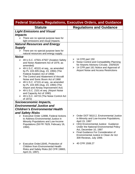| <b>Federal Statutes, Regulations, Executive Orders, and Guidance</b>                                                                                                                                                                                                                                                                                                                                                                                                                                                                                                   |                                                                                                                                                                                                                                                                                                                                    |  |
|------------------------------------------------------------------------------------------------------------------------------------------------------------------------------------------------------------------------------------------------------------------------------------------------------------------------------------------------------------------------------------------------------------------------------------------------------------------------------------------------------------------------------------------------------------------------|------------------------------------------------------------------------------------------------------------------------------------------------------------------------------------------------------------------------------------------------------------------------------------------------------------------------------------|--|
| <b>Statute</b>                                                                                                                                                                                                                                                                                                                                                                                                                                                                                                                                                         | <b>Regulations and Guidance</b>                                                                                                                                                                                                                                                                                                    |  |
| <b>Light Emissions and Visual</b><br><i><b>Impacts</b></i><br>$\triangleright$ There are no special purpose laws for<br>light emissions and visual impacts.<br><b>Natural Resources and Energy</b>                                                                                                                                                                                                                                                                                                                                                                     |                                                                                                                                                                                                                                                                                                                                    |  |
| <b>Supply</b>                                                                                                                                                                                                                                                                                                                                                                                                                                                                                                                                                          |                                                                                                                                                                                                                                                                                                                                    |  |
| $\triangleright$ There are no special purpose laws for<br>natural resources and energy supply.                                                                                                                                                                                                                                                                                                                                                                                                                                                                         |                                                                                                                                                                                                                                                                                                                                    |  |
| <b>Noise</b><br>▶ 49 U.S.C. 47501-47507 (Aviation Safety<br>and Noise Abatement Act of 1979, as<br>amended)<br>> 49 U.S.C. 40101 et seq., as amended<br>by PL 103-305 (Aug. 23, 1994) (The<br>Federal Aviation Act of 1958)<br>The Control and Abatement of Aircraft<br>➤<br>Noise and Sonic Boom Act of 1968<br>49 U.S.C. 47101 et seq., as amended<br>➤<br>by PL 103-305 (Aug. 23, 1994) (The<br>Airport and Airway Improvement Act)<br>> 49 U.S.C. 2101 et seq. (Airport Noise<br>and Capacity Act of 1990)<br>▶ 49 U.S.C. 44715 (The Noise Control Act<br>of 1972) | $\geq$ 14 CFR part 150<br>$\triangleright$ Noise Control and Compatibility Planning<br>for Airports Advisory Circular, 150/5020<br>14 CFR part 161 Notice and Approval of<br>≻<br><b>Airport Noise and Access Restrictions</b>                                                                                                     |  |
| Socioeconomic Impacts,<br><b>Environmental Justice and</b><br><b>Children's Environmental Health</b>                                                                                                                                                                                                                                                                                                                                                                                                                                                                   |                                                                                                                                                                                                                                                                                                                                    |  |
| and Safety Risks<br>Executive Order 12898, Federal Actions<br>to Address Environmental Justice in<br>Minority Populations and Low-Income<br>Populations (59 FR 7629, February 16,<br>1994).                                                                                                                                                                                                                                                                                                                                                                            | > Order DOT 5610.2, Environmental Justice<br>in Minority and Low-Income Populations,<br>April 15, 1997<br>> CEQ Environmental Justice: Guidance<br>Under the National Environmental Policy<br>Act, December 10, 1997<br>> Final Guidance For Consideration of<br>Environmental Justice in Clean Air Act<br>309 Reviews, July 1999. |  |
| $\triangleright$ Executive Order13045, Protection of<br><b>Children from Environmental Health</b><br>Risks and Safety Risks (62 CFR 19883,<br>April 23, 1997).                                                                                                                                                                                                                                                                                                                                                                                                         | 40 CFR 1508.27<br>➤                                                                                                                                                                                                                                                                                                                |  |